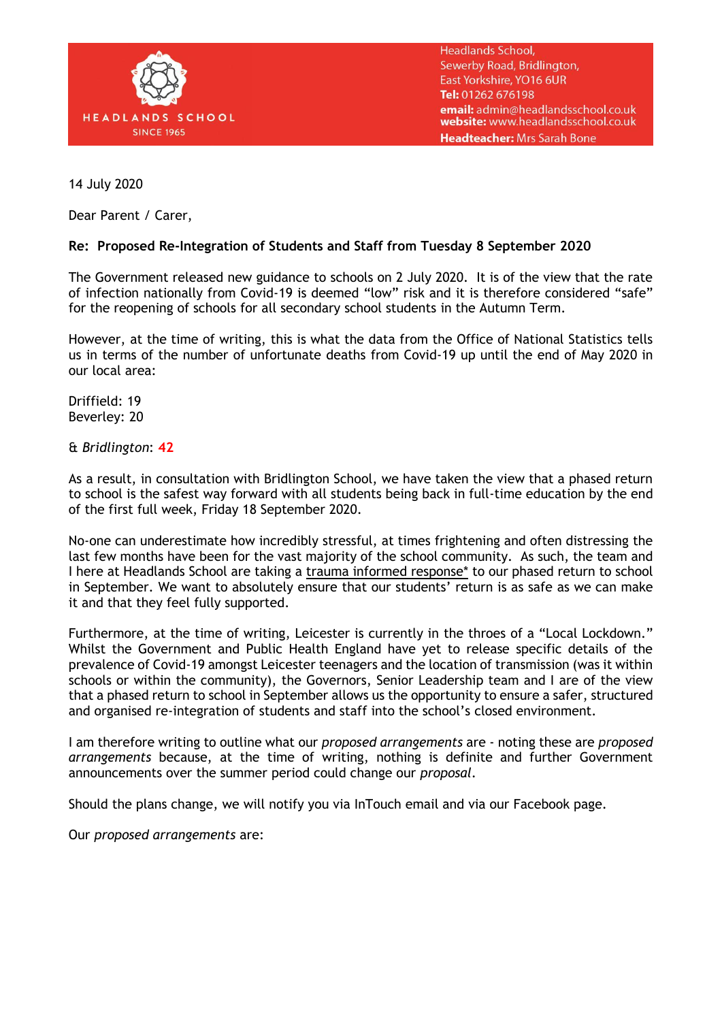

**Headlands School,** Sewerby Road, Bridlington, East Yorkshire, YO16 6UR Tel: 01262 676198 email: admin@headlandsschool.co.uk website: www.headlandsschool.co.uk Headteacher: Mrs Sarah Bone

14 July 2020

Dear Parent / Carer,

## **Re: Proposed Re-Integration of Students and Staff from Tuesday 8 September 2020**

The Government released new guidance to schools on 2 July 2020. It is of the view that the rate of infection nationally from Covid-19 is deemed "low" risk and it is therefore considered "safe" for the reopening of schools for all secondary school students in the Autumn Term.

However, at the time of writing, this is what the data from the Office of National Statistics tells us in terms of the number of unfortunate deaths from Covid-19 up until the end of May 2020 in our local area:

Driffield: 19 Beverley: 20

& *Bridlington*: **42**

As a result, in consultation with Bridlington School, we have taken the view that a phased return to school is the safest way forward with all students being back in full-time education by the end of the first full week, Friday 18 September 2020.

No-one can underestimate how incredibly stressful, at times frightening and often distressing the last few months have been for the vast majority of the school community. As such, the team and I here at Headlands School are taking a trauma informed response\* to our phased return to school in September. We want to absolutely ensure that our students' return is as safe as we can make it and that they feel fully supported.

Furthermore, at the time of writing, Leicester is currently in the throes of a "Local Lockdown." Whilst the Government and Public Health England have yet to release specific details of the prevalence of Covid-19 amongst Leicester teenagers and the location of transmission (was it within schools or within the community), the Governors, Senior Leadership team and I are of the view that a phased return to school in September allows us the opportunity to ensure a safer, structured and organised re-integration of students and staff into the school's closed environment.

I am therefore writing to outline what our *proposed arrangements* are - noting these are *proposed arrangements* because, at the time of writing, nothing is definite and further Government announcements over the summer period could change our *proposal*.

Should the plans change, we will notify you via InTouch email and via our Facebook page.

Our *proposed arrangements* are: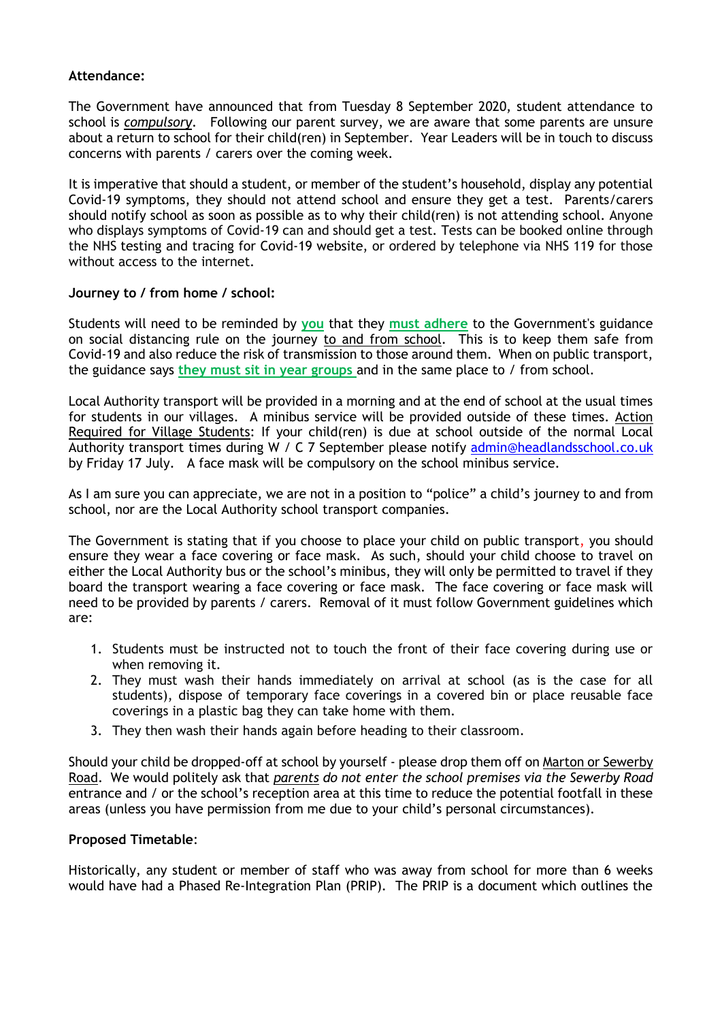## **Attendance:**

The Government have announced that from Tuesday 8 September 2020, student attendance to school is *compulsory*. Following our parent survey, we are aware that some parents are unsure about a return to school for their child(ren) in September. Year Leaders will be in touch to discuss concerns with parents / carers over the coming week.

It is imperative that should a student, or member of the student's household, display any potential Covid-19 symptoms, they should not attend school and ensure they get a test. Parents/carers should notify school as soon as possible as to why their child(ren) is not attending school. Anyone who displays symptoms of Covid-19 can and should get a test. Tests can be booked online through the NHS [testing and tracing for Covid-19 website,](https://www.nhs.uk/conditions/coronavirus-covid-19/testing-for-coronavirus/) or ordered by telephone via NHS 119 for those without access to the internet.

## **Journey to / from home / school:**

Students will need to be reminded by **you** that they **must adhere** to the Government's guidance on social distancing rule on the journey to and from school. This is to keep them safe from Covid-19 and also reduce the risk of transmission to those around them. When on public transport, the guidance says **they must sit in year groups** and in the same place to / from school.

Local Authority transport will be provided in a morning and at the end of school at the usual times for students in our villages. A minibus service will be provided outside of these times. Action Required for Village Students: If your child(ren) is due at school outside of the normal Local Authority transport times during W / C 7 September please notify [admin@headlandsschool.co.uk](mailto:admin@headlandsschool.co.uk) by Friday 17 July. A face mask will be compulsory on the school minibus service.

As I am sure you can appreciate, we are not in a position to "police" a child's journey to and from school, nor are the Local Authority school transport companies.

The Government is stating that if you choose to place your child on public transport, you should ensure they wear a face covering or face mask. As such, should your child choose to travel on either the Local Authority bus or the school's minibus, they will only be permitted to travel if they board the transport wearing a face covering or face mask. The face covering or face mask will need to be provided by parents / carers. Removal of it must follow Government guidelines which are:

- 1. Students must be instructed not to touch the front of their face covering during use or when removing it.
- 2. They must wash their hands immediately on arrival at school (as is the case for all students), dispose of temporary face coverings in a covered bin or place reusable face coverings in a plastic bag they can take home with them.
- 3. They then wash their hands again before heading to their classroom.

Should your child be dropped-off at school by yourself - please drop them off on Marton or Sewerby Road. We would politely ask that *parents do not enter the school premises via the Sewerby Road* entrance and / or the school's reception area at this time to reduce the potential footfall in these areas (unless you have permission from me due to your child's personal circumstances).

## **Proposed Timetable**:

Historically, any student or member of staff who was away from school for more than 6 weeks would have had a Phased Re-Integration Plan (PRIP). The PRIP is a document which outlines the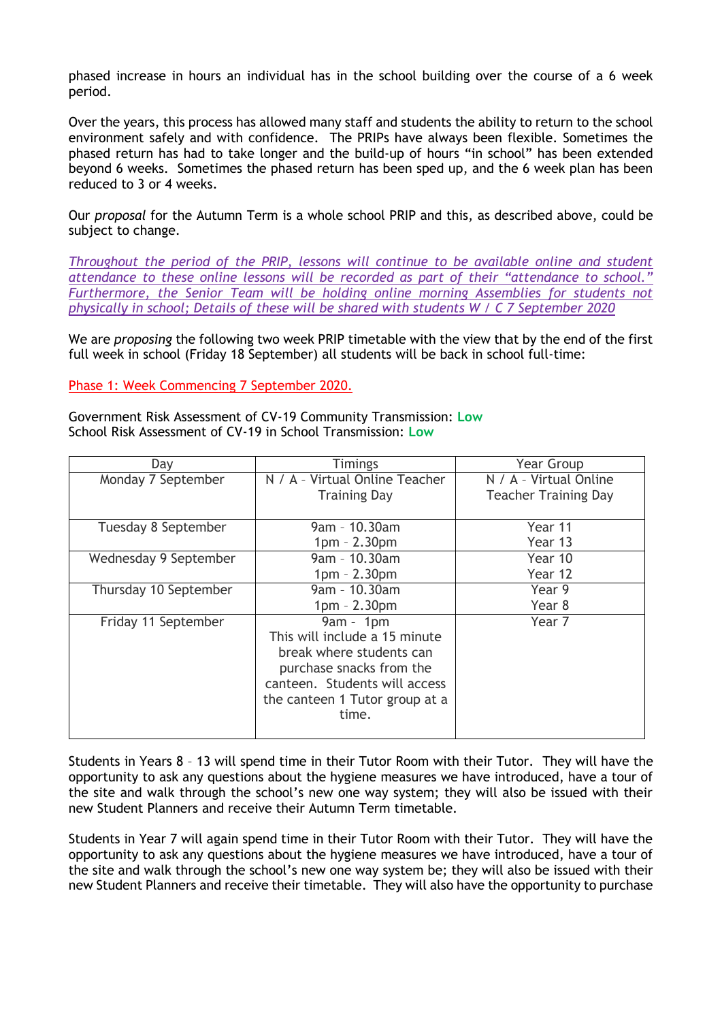phased increase in hours an individual has in the school building over the course of a 6 week period.

Over the years, this process has allowed many staff and students the ability to return to the school environment safely and with confidence. The PRIPs have always been flexible. Sometimes the phased return has had to take longer and the build-up of hours "in school" has been extended beyond 6 weeks. Sometimes the phased return has been sped up, and the 6 week plan has been reduced to 3 or 4 weeks.

Our *proposal* for the Autumn Term is a whole school PRIP and this, as described above, could be subject to change.

*Throughout the period of the PRIP, lessons will continue to be available online and student attendance to these online lessons will be recorded as part of their "attendance to school." Furthermore, the Senior Team will be holding online morning Assemblies for students not physically in school; Details of these will be shared with students W / C 7 September 2020* 

We are *proposing* the following two week PRIP timetable with the view that by the end of the first full week in school (Friday 18 September) all students will be back in school full-time:

Phase 1: Week Commencing 7 September 2020.

Government Risk Assessment of CV-19 Community Transmission: **Low** School Risk Assessment of CV-19 in School Transmission: **Low**

| Day                   | <b>Timings</b>                 | <b>Year Group</b>           |
|-----------------------|--------------------------------|-----------------------------|
| Monday 7 September    | N / A - Virtual Online Teacher | N / A - Virtual Online      |
|                       | <b>Training Day</b>            | <b>Teacher Training Day</b> |
|                       |                                |                             |
| Tuesday 8 September   | $9am - 10.30am$                | Year 11                     |
|                       | $1pm - 2.30pm$                 | Year 13                     |
| Wednesday 9 September | $9am - 10.30am$                | Year 10                     |
|                       | $1pm - 2.30pm$                 | Year 12                     |
| Thursday 10 September | 9am - 10.30am                  | Year 9                      |
|                       | $1pm - 2.30pm$                 | Year 8                      |
| Friday 11 September   | $9am - 1pm$                    | Year 7                      |
|                       | This will include a 15 minute  |                             |
|                       | break where students can       |                             |
|                       | purchase snacks from the       |                             |
|                       | canteen. Students will access  |                             |
|                       | the canteen 1 Tutor group at a |                             |
|                       | time.                          |                             |
|                       |                                |                             |

Students in Years 8 – 13 will spend time in their Tutor Room with their Tutor. They will have the opportunity to ask any questions about the hygiene measures we have introduced, have a tour of the site and walk through the school's new one way system; they will also be issued with their new Student Planners and receive their Autumn Term timetable.

Students in Year 7 will again spend time in their Tutor Room with their Tutor. They will have the opportunity to ask any questions about the hygiene measures we have introduced, have a tour of the site and walk through the school's new one way system be; they will also be issued with their new Student Planners and receive their timetable. They will also have the opportunity to purchase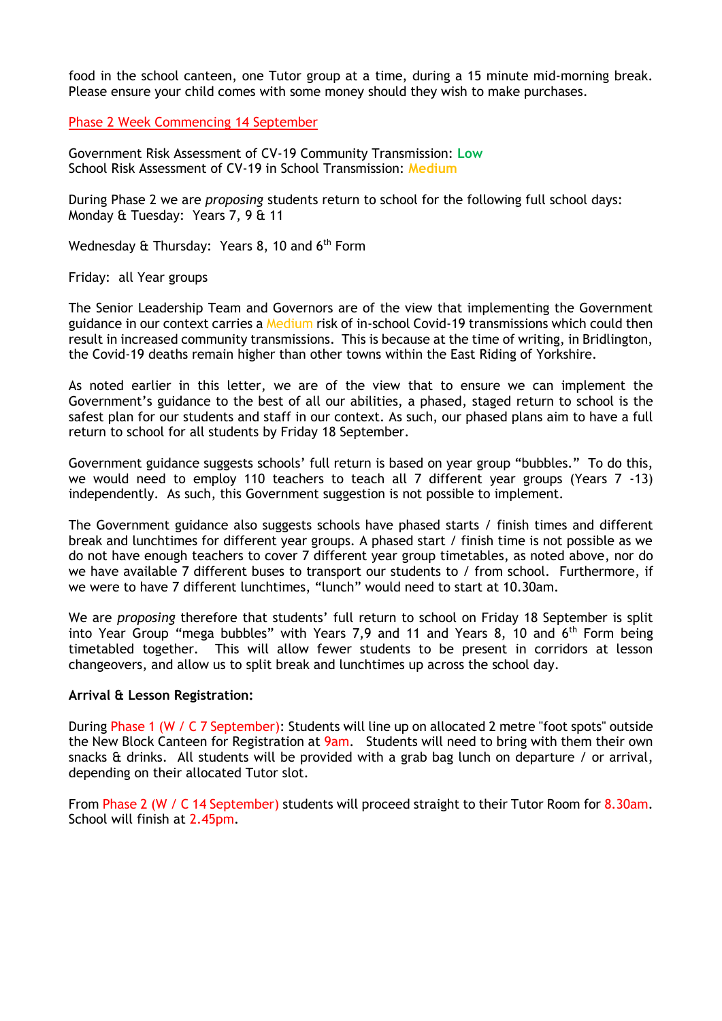food in the school canteen, one Tutor group at a time, during a 15 minute mid-morning break. Please ensure your child comes with some money should they wish to make purchases.

Phase 2 Week Commencing 14 September

Government Risk Assessment of CV-19 Community Transmission: **Low** School Risk Assessment of CV-19 in School Transmission: **Medium**

During Phase 2 we are *proposing* students return to school for the following full school days: Monday & Tuesday: Years 7, 9 & 11

Wednesday & Thursday: Years 8, 10 and  $6<sup>th</sup>$  Form

Friday: all Year groups

The Senior Leadership Team and Governors are of the view that implementing the Government guidance in our context carries a Medium risk of in-school Covid-19 transmissions which could then result in increased community transmissions. This is because at the time of writing, in Bridlington, the Covid-19 deaths remain higher than other towns within the East Riding of Yorkshire.

As noted earlier in this letter, we are of the view that to ensure we can implement the Government's guidance to the best of all our abilities, a phased, staged return to school is the safest plan for our students and staff in our context. As such, our phased plans aim to have a full return to school for all students by Friday 18 September.

Government guidance suggests schools' full return is based on year group "bubbles." To do this, we would need to employ 110 teachers to teach all 7 different year groups (Years 7 -13) independently. As such, this Government suggestion is not possible to implement.

The Government guidance also suggests schools have phased starts / finish times and different break and lunchtimes for different year groups. A phased start / finish time is not possible as we do not have enough teachers to cover 7 different year group timetables, as noted above, nor do we have available 7 different buses to transport our students to / from school. Furthermore, if we were to have 7 different lunchtimes, "lunch" would need to start at 10.30am.

We are *proposing* therefore that students' full return to school on Friday 18 September is split into Year Group "mega bubbles" with Years 7,9 and 11 and Years 8, 10 and 6<sup>th</sup> Form being timetabled together. This will allow fewer students to be present in corridors at lesson changeovers, and allow us to split break and lunchtimes up across the school day.

### **Arrival & Lesson Registration:**

During Phase 1 (W / C 7 September): Students will line up on allocated 2 metre "foot spots" outside the New Block Canteen for Registration at 9am. Students will need to bring with them their own snacks & drinks. All students will be provided with a grab bag lunch on departure / or arrival, depending on their allocated Tutor slot.

From Phase 2 (W / C 14 September) students will proceed straight to their Tutor Room for 8.30am. School will finish at 2.45pm.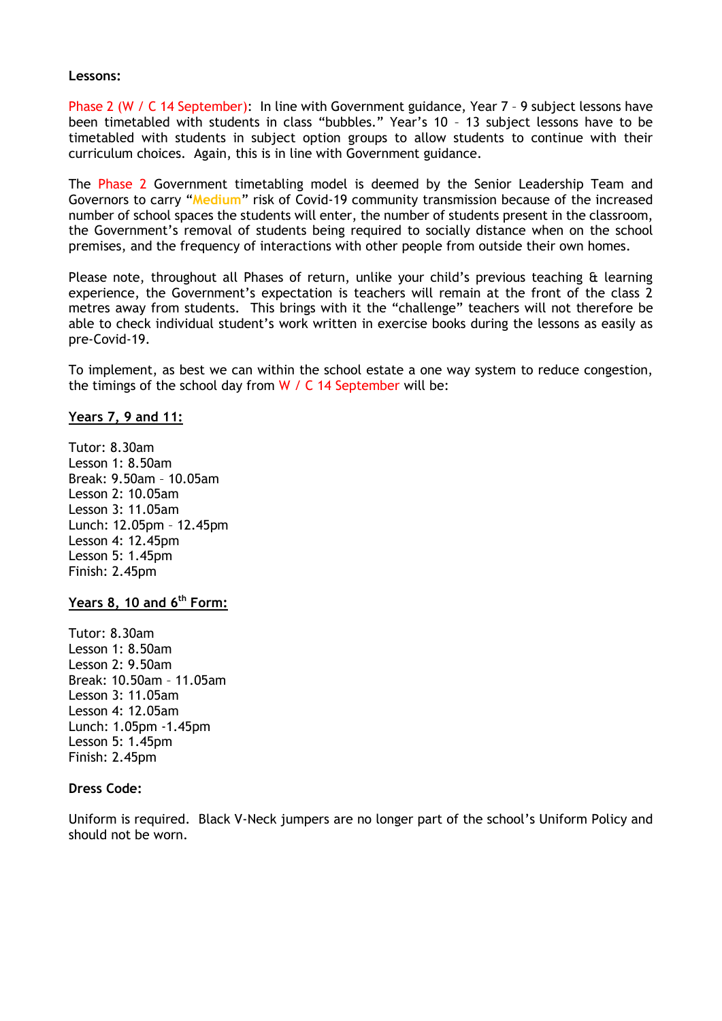### **Lessons:**

Phase 2 (W / C 14 September): In line with Government guidance, Year 7 - 9 subject lessons have been timetabled with students in class "bubbles." Year's 10 – 13 subject lessons have to be timetabled with students in subject option groups to allow students to continue with their curriculum choices. Again, this is in line with Government guidance.

The Phase 2 Government timetabling model is deemed by the Senior Leadership Team and Governors to carry "**Medium**" risk of Covid-19 community transmission because of the increased number of school spaces the students will enter, the number of students present in the classroom, the Government's removal of students being required to socially distance when on the school premises, and the frequency of interactions with other people from outside their own homes.

Please note, throughout all Phases of return, unlike your child's previous teaching & learning experience, the Government's expectation is teachers will remain at the front of the class 2 metres away from students. This brings with it the "challenge" teachers will not therefore be able to check individual student's work written in exercise books during the lessons as easily as pre-Covid-19.

To implement, as best we can within the school estate a one way system to reduce congestion, the timings of the school day from W / C 14 September will be:

# **Years 7, 9 and 11:**

Tutor: 8.30am Lesson 1: 8.50am Break: 9.50am – 10.05am Lesson 2: 10.05am Lesson 3: 11.05am Lunch: 12.05pm – 12.45pm Lesson 4: 12.45pm Lesson 5: 1.45pm Finish: 2.45pm

## **Years 8, 10 and 6th Form:**

Tutor: 8.30am Lesson 1: 8.50am Lesson 2: 9.50am Break: 10.50am – 11.05am Lesson 3: 11.05am Lesson 4: 12.05am Lunch: 1.05pm -1.45pm Lesson 5: 1.45pm Finish: 2.45pm

## **Dress Code:**

Uniform is required. Black V-Neck jumpers are no longer part of the school's Uniform Policy and should not be worn.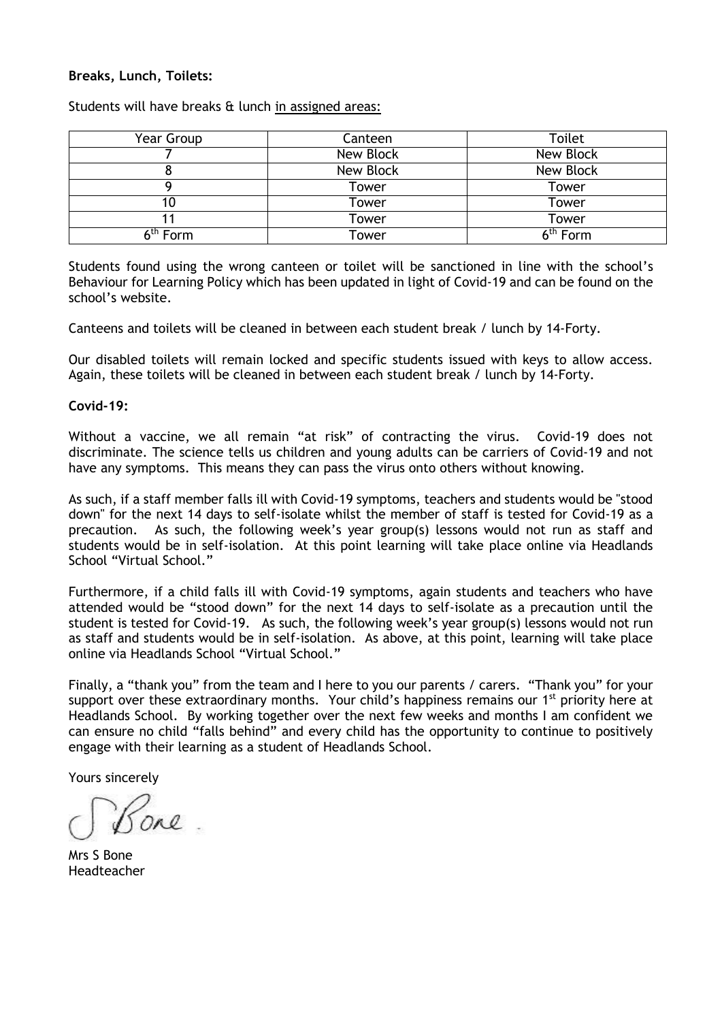### **Breaks, Lunch, Toilets:**

| Year Group           | Canteen          | Toilet               |
|----------------------|------------------|----------------------|
|                      | New Block        | New Block            |
| ο                    | <b>New Block</b> | New Block            |
|                      | Tower            | Tower                |
|                      | Tower            | Tower                |
|                      | Tower            | Tower                |
| 6 <sup>th</sup> Form | Tower            | 6 <sup>th</sup> Form |

Students will have breaks & lunch in assigned areas:

Students found using the wrong canteen or toilet will be sanctioned in line with the school's Behaviour for Learning Policy which has been updated in light of Covid-19 and can be found on the school's website.

Canteens and toilets will be cleaned in between each student break / lunch by 14-Forty.

Our disabled toilets will remain locked and specific students issued with keys to allow access. Again, these toilets will be cleaned in between each student break / lunch by 14-Forty.

### **Covid-19:**

Without a vaccine, we all remain "at risk" of contracting the virus. Covid-19 does not discriminate. The science tells us children and young adults can be carriers of Covid-19 and not have any symptoms. This means they can pass the virus onto others without knowing.

As such, if a staff member falls ill with Covid-19 symptoms, teachers and students would be "stood down" for the next 14 days to self-isolate whilst the member of staff is tested for Covid-19 as a precaution. As such, the following week's year group(s) lessons would not run as staff and students would be in self-isolation. At this point learning will take place online via Headlands School "Virtual School."

Furthermore, if a child falls ill with Covid-19 symptoms, again students and teachers who have attended would be "stood down" for the next 14 days to self-isolate as a precaution until the student is tested for Covid-19. As such, the following week's year group(s) lessons would not run as staff and students would be in self-isolation. As above, at this point, learning will take place online via Headlands School "Virtual School."

Finally, a "thank you" from the team and I here to you our parents / carers. "Thank you" for your support over these extraordinary months. Your child's happiness remains our 1<sup>st</sup> priority here at Headlands School. By working together over the next few weeks and months I am confident we can ensure no child "falls behind" and every child has the opportunity to continue to positively engage with their learning as a student of Headlands School.

Yours sincerely

Mrs S Bone Headteacher